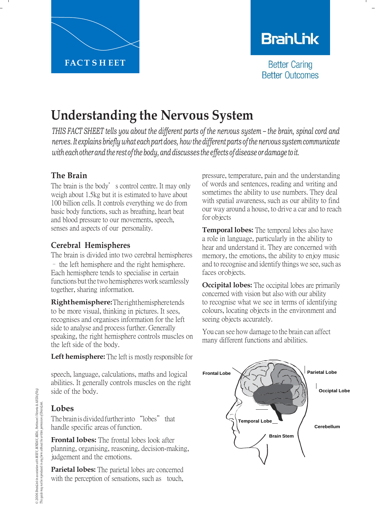

# **BranLink**

**Better Caring Better Outcomes** 

# **Understanding the Nervous System**

THIS FACT SHEET tells you about the different parts of the nervous system - the brain, spinal cord and *nerves. It explains briefly what each partdoes, how thedifferent parts ofthe nervous system communicate with each other and the rest of the body, and discusses the effects of disease or damage to it.* 

## **The Brain**

The brain is the body's control centre. It may only weigh about 1.5kg but it is estimated to have about 100 billion cells. It controls everything we do from basic body functions, such as breathing, heart beat and blood pressure to our movements, speech, senses and aspects of our personality.

# **Cerebral Hemispheres**

The brain is divided into two cerebral hemispheres – the left hemisphere and the right hemisphere. Each hemisphere tends to specialise in certain functions but the two hemispheres work seamlessly together, sharing information.

**Righthemisphere:**Therighthemispheretends to be more visual, thinking in pictures. It sees, recognises and organises information for the left side to analyse and process further. Generally speaking, the right hemisphere controls muscles on the left side of the body.

**Left hemisphere:** The left is mostly responsible for

speech, language, calculations, maths and logical abilities. It generally controls muscles on the right side of the body.

# **Lobes**

The brain is divided further into "lobes" that handle specific areas of function.

**Frontal lobes:** The frontal lobes look after planning, organising, reasoning, decision-making, judgement and the emotions.

**Parietal lobes:** The parietal lobes are concerned with the perception of sensations, such as touch,

pressure, temperature, pain and the understanding of words and sentences, reading and writing and sometimes the ability to use numbers. They deal with spatial awareness, such as our ability to find our way around a house, to drive a car and to reach for objects

**Temporal lobes:** The temporal lobes also have a role in language, particularly in the ability to hear and understand it. They are concerned with memory, the emotions, the ability to enjoy music and to recognise and identify things we see, such as faces orobjects.

**Occipital lobes:** The occipital lobes are primarily concerned with vision but also with our ability to recognise what we see in terms of identifying colours, locating objects in the environment and seeing objects accurately.

You can see how damage to the brain can affect many different functions and abilities.

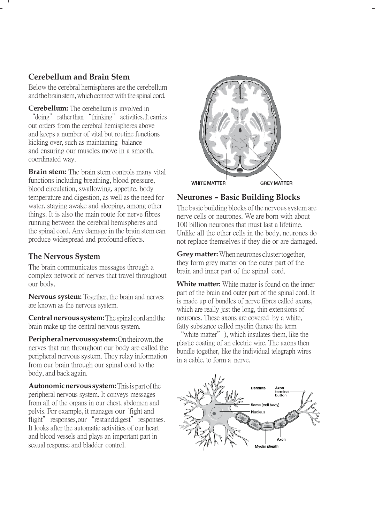### **Cerebellum and Brain Stem**

Below the cerebral hemispheres are the cerebellum and the brain stem, which connect with the spinal cord.

**Cerebellum:** The cerebellum is involved in "doing" rather than "thinking" activities. It carries out orders from the cerebral hemispheres above and keeps a number of vital but routine functions kicking over, such as maintaining balance and ensuring our muscles move in a smooth, coordinated way.

**Brain stem:** The brain stem controls many vital functions including breathing, blood pressure, blood circulation, swallowing, appetite, body temperature and digestion, as well as the need for water, staying awake and sleeping, among other things. It is also the main route for nerve fibres running between the cerebral hemispheres and the spinal cord. Any damage in the brain stem can produce widespread and profound effects.

# **The Nervous System**

The brain communicates messages through a complex network of nerves that travel throughout our body.

**Nervous system:** Together, the brain and nerves are known as the nervous system.

**Central nervous system:** The spinal cord and the brain make up the central nervous system.

**Peripheralnervoussystem:**Ontheirown,the nerves that run throughout our body are called the peripheral nervous system. They relay information from our brain through our spinal cord to the body, and back again.

**Autonomic nervous system:** This is part of the peripheral nervous system. It conveys messages from all of the organs in our chest, abdomen and pelvis. For example, it manages our "fight and flight" responses, our "restanddigest" responses. It looks after the automatic activities of our heart and blood vessels and plays an important part in sexual response and bladder control.



## **Neurones – Basic Building Blocks**

The basic building blocks of the nervous system are nerve cells or neurones. We are born with about 100 billion neurones that must last a lifetime. Unlike all the other cells in the body, neurones do not replace themselves if they die or are damaged.

**Grey matter:** When neurones cluster together, they form grey matter on the outer part of the brain and inner part of the spinal cord.

**White matter:** White matter is found on the inner part of the brain and outer part of the spinal cord. It is made up of bundles of nerve fibres called axons, which are really just the long, thin extensions of neurones. These axons are covered by a white, fatty substance called myelin (hence the term

"white matter"), which insulates them, like the plastic coating of an electric wire. The axons then bundle together, like the individual telegraph wires in a cable, to form a nerve.

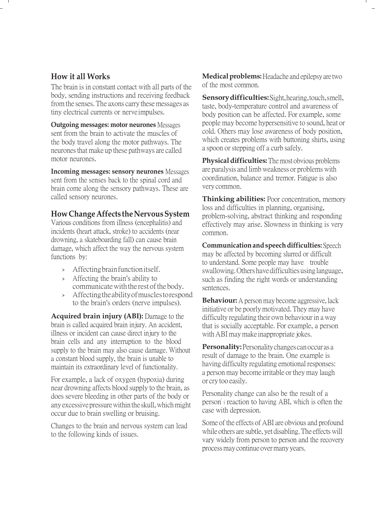#### **How it all Works**

The brain is in constant contact with all parts of the body, sending instructions and receiving feedback fromthe senses.The axons carry these messages as tiny electrical currents or nerveimpulses.

**Outgoing messages: motor neurones** Messages sent from the brain to activate the muscles of the body travel along the motor pathways. The neuronesthat make up these pathways are called motor neurones.

**Incoming messages: sensory neurones** Messages sent from the senses back to the spinal cord and brain come along the sensory pathways. These are called sensory neurones.

#### **How Change Affects the Nervous System**

Various conditions from illness (encephalitis) and incidents (heart attack, stroke) to accidents (near drowning, a skateboarding fall) can cause brain damage, which affect the way the nervous system functions by:

- › Affecting brain function itself.
- › Affecting the brain's ability to communicate with the rest of the body.
- › Affecting theability ofmuscles torespond to the brain's orders (nerve impulses).

**Acquired brain injury (ABI):** Damage to the brain is called acquired brain injury. An accident, illness or incident can cause direct injury to the brain cells and any interruption to the blood supply to the brain may also cause damage. Without a constant blood supply, the brain is unable to maintain its extraordinary level of functionality.

For example, a lack of oxygen (hypoxia) during near drowning affects blood supply to the brain, as does severe bleeding in other parts of the body or any excessive pressure within the skull, which might occur due to brain swelling or bruising.

Changes to the brain and nervous system can lead to the following kinds of issues.

**Medical problems:** Headache and epilepsy are two of the most common.

**Sensorydifficulties:**Sight,hearing,touch,smell, taste, body-temperature control and awareness of body position can be affected. For example, some people may become hypersensitive to sound, heat or cold. Others may lose awareness of body position, which creates problems with buttoning shirts, using a spoon or stepping off a curb safely.

**Physical difficulties:** The most obvious problems are paralysis and limb weakness or problems with coordination, balance and tremor. Fatigue is also very common.

**Thinking abilities:** Poor concentration, memory loss and difficulties in planning, organising, problem-solving, abstract thinking and responding effectively may arise. Slowness in thinking is very common.

**Communicationandspeechdifficulties:** Speech may be affected by becoming slurred or difficult to understand. Some people may have trouble swallowing.Others havedifficultiesusinglanguage, such as finding the right words or understanding sentences.

**Behaviour:** A person may become aggressive, lack initiative or be poorly motivated. They may have difficulty regulating their own behaviour in a way that is socially acceptable. For example, a person with ABI may make inappropriate jokes.

**Personality:**Personalitychanges canoccur as a result of damage to the brain. One example is having difficulty regulating emotional responses: a person may become irritable or they may laugh or cry too easily.

Personality change can also be the result of a person'<sup>s</sup> reaction to having ABI, which is often the case with depression.

Some of the effects of ABI are obvious and profound while others are subtle, yet disabling. The effects will vary widely from person to person and the recovery process may continue over many years.